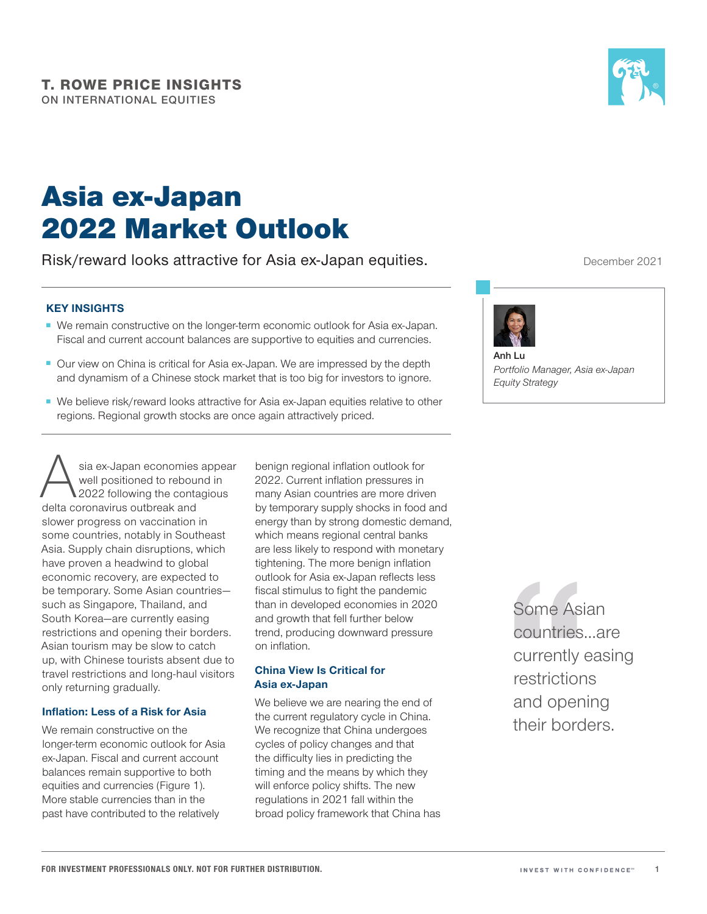# Asia ex‑Japan 2022 Market Outlook

Risk/reward looks attractive for Asia ex‑Japan equities.

## KEY INSIGHTS

- We remain constructive on the longer-term economic outlook for Asia ex-Japan. Fiscal and current account balances are supportive to equities and currencies.
- Our view on China is critical for Asia ex-Japan. We are impressed by the depth and dynamism of a Chinese stock market that is too big for investors to ignore.
- We believe risk/reward looks attractive for Asia ex-Japan equities relative to other regions. Regional growth stocks are once again attractively priced.

Sia ex-Japan economies appear<br>
well positioned to rebound in<br>
2022 following the contagious<br>
delta coronavirus outbreak and well positioned to rebound in 2022 following the contagious delta coronavirus outbreak and slower progress on vaccination in some countries, notably in Southeast Asia. Supply chain disruptions, which have proven a headwind to global economic recovery, are expected to be temporary. Some Asian countries such as Singapore, Thailand, and South Korea—are currently easing restrictions and opening their borders. Asian tourism may be slow to catch up, with Chinese tourists absent due to travel restrictions and long‑haul visitors only returning gradually.

## Inflation: Less of a Risk for Asia

We remain constructive on the longer-term economic outlook for Asia ex‑Japan. Fiscal and current account balances remain supportive to both equities and currencies (Figure 1). More stable currencies than in the past have contributed to the relatively

benign regional inflation outlook for 2022. Current inflation pressures in many Asian countries are more driven by temporary supply shocks in food and energy than by strong domestic demand, which means regional central banks are less likely to respond with monetary tightening. The more benign inflation outlook for Asia ex‑Japan reflects less fiscal stimulus to fight the pandemic than in developed economies in 2020 and growth that fell further below trend, producing downward pressure on inflation.

### China View Is Critical for Asia ex‑Japan

We believe we are nearing the end of the current regulatory cycle in China. We recognize that China undergoes cycles of policy changes and that the difficulty lies in predicting the timing and the means by which they will enforce policy shifts. The new regulations in 2021 fall within the broad policy framework that China has

Some Asian countries…are currently easing restrictions and opening their borders.

December 2021



*Portfolio Manager, Asia ex‑Japan Equity Strategy*

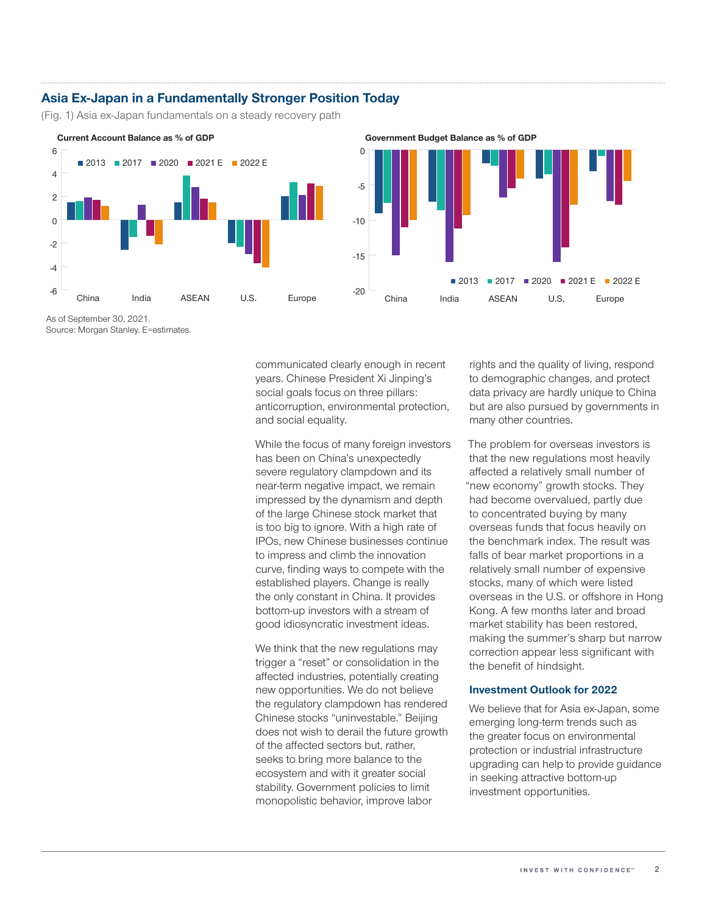## Asia Ex-Japan in a Fundamentally Stronger Position Today

(Fig. 1) Asia ex-Japan fundamentals on a steady recovery path



As of September 30, 2021. Source: Morgan Stanley. E=estimates.

> communicated clearly enough in recent years. Chinese President Xi Jinping's social goals focus on three pillars: anticorruption, environmental protection, and social equality.

> While the focus of many foreign investors has been on China's unexpectedly severe regulatory clampdown and its near‑term negative impact, we remain impressed by the dynamism and depth of the large Chinese stock market that is too big to ignore. With a high rate of IPOs, new Chinese businesses continue to impress and climb the innovation curve, finding ways to compete with the established players. Change is really the only constant in China. It provides bottom‑up investors with a stream of good idiosyncratic investment ideas.

> We think that the new regulations may trigger a "reset" or consolidation in the affected industries, potentially creating new opportunities. We do not believe the regulatory clampdown has rendered Chinese stocks "uninvestable." Beijing does not wish to derail the future growth of the affected sectors but, rather, seeks to bring more balance to the ecosystem and with it greater social stability. Government policies to limit monopolistic behavior, improve labor

rights and the quality of living, respond to demographic changes, and protect data privacy are hardly unique to China but are also pursued by governments in many other countries.

The problem for overseas investors is that the new regulations most heavily affected a relatively small number of "new economy" growth stocks. They had become overvalued, partly due to concentrated buying by many overseas funds that focus heavily on the benchmark index. The result was falls of bear market proportions in a relatively small number of expensive stocks, many of which were listed overseas in the U.S. or offshore in Hong Kong. A few months later and broad market stability has been restored, making the summer's sharp but narrow correction appear less significant with the benefit of hindsight.

#### Investment Outlook for 2022

We believe that for Asia ex-Japan, some emerging long‑term trends such as the greater focus on environmental protection or industrial infrastructure upgrading can help to provide guidance in seeking attractive bottom‑up investment opportunities.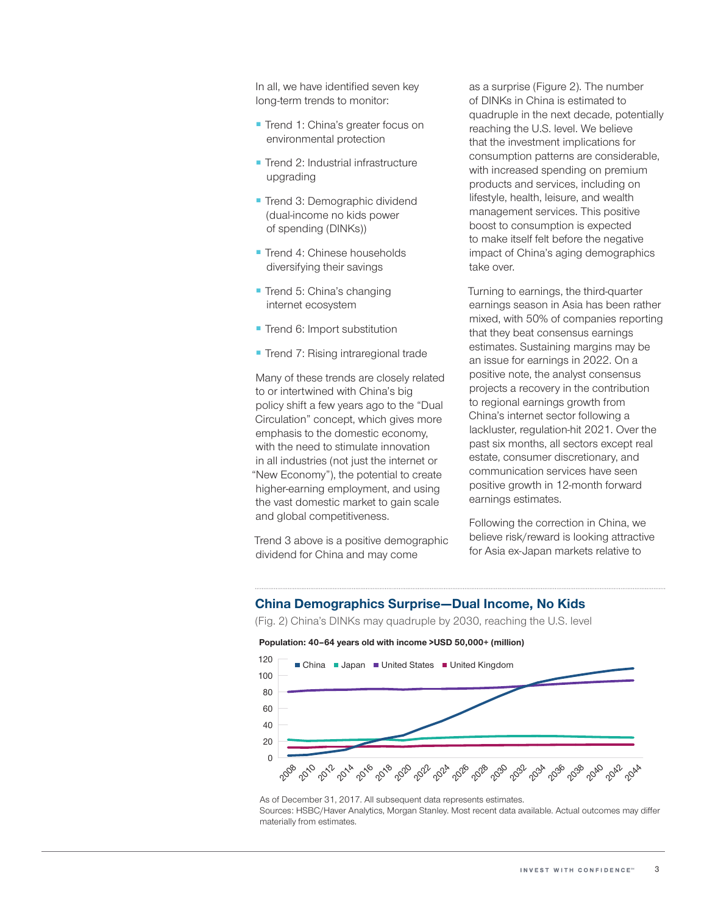In all, we have identified seven key long-term trends to monitor:

- Trend 1: China's greater focus on environmental protection
- Trend 2: Industrial infrastructure upgrading
- Trend 3: Demographic dividend (dual‑income no kids power of spending (DINKs))
- Trend 4: Chinese households diversifying their savings
- Trend 5: China's changing internet ecosystem
- Trend 6: Import substitution
- Trend 7: Rising intraregional trade

Many of these trends are closely related to or intertwined with China's big policy shift a few years ago to the "Dual Circulation" concept, which gives more emphasis to the domestic economy, with the need to stimulate innovation in all industries (not just the internet or "New Economy"), the potential to create higher-earning employment, and using the vast domestic market to gain scale and global competitiveness.

Trend 3 above is a positive demographic dividend for China and may come

as a surprise (Figure 2). The number of DINKs in China is estimated to quadruple in the next decade, potentially reaching the U.S. level. We believe that the investment implications for consumption patterns are considerable, with increased spending on premium products and services, including on lifestyle, health, leisure, and wealth management services. This positive boost to consumption is expected to make itself felt before the negative impact of China's aging demographics take over.

Turning to earnings, the third‑quarter earnings season in Asia has been rather mixed, with 50% of companies reporting that they beat consensus earnings estimates. Sustaining margins may be an issue for earnings in 2022. On a positive note, the analyst consensus projects a recovery in the contribution to regional earnings growth from China's internet sector following a lackluster, regulation‑hit 2021. Over the past six months, all sectors except real estate, consumer discretionary, and communication services have seen positive growth in 12‑month forward earnings estimates.

Following the correction in China, we believe risk/reward is looking attractive for Asia ex‑Japan markets relative to

## China Demographics Surprise—Dual Income, No Kids

(Fig. 2) China's DINKs may quadruple by 2030, reaching the U.S. level

#### **Population: 40–64 years old with income >USD 50,000+ (million)**



As of December 31, 2017. All subsequent data represents estimates. Sources: HSBC/Haver Analytics, Morgan Stanley. Most recent data available. Actual outcomes may differ materially from estimates.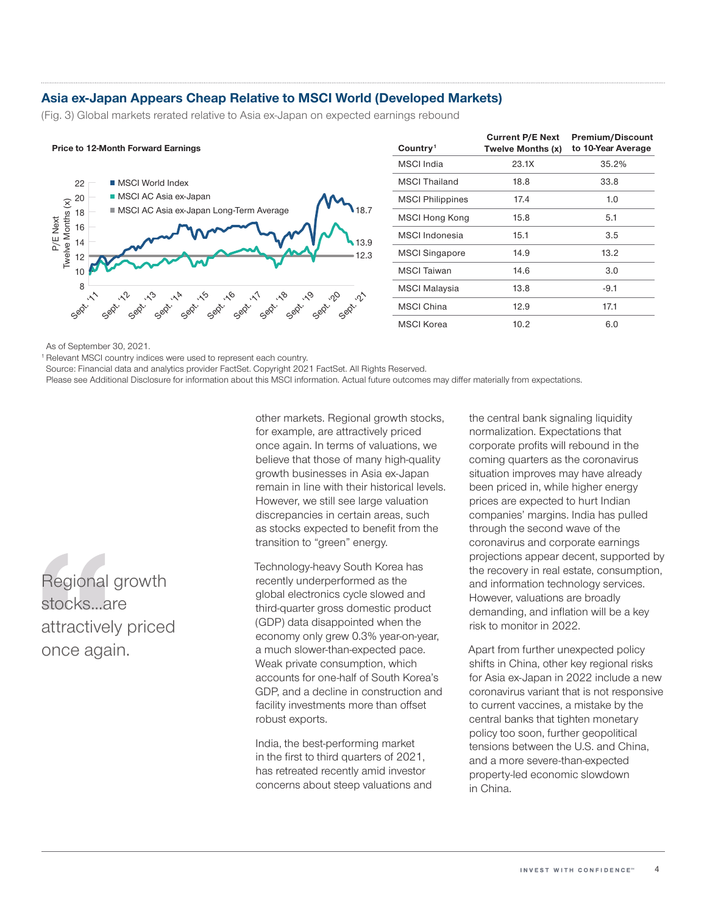## Asia ex-Japan Appears Cheap Relative to MSCI World (Developed Markets)

(Fig. 3) Global markets rerated relative to Asia ex-Japan on expected earnings rebound





| Country <sup>1</sup>    | <b>Current P/E Next</b><br>Twelve Months (x) | <b>Premium/Discount</b><br>to 10-Year Average |
|-------------------------|----------------------------------------------|-----------------------------------------------|
| MSCI India              | 23.1X                                        | 35.2%                                         |
| <b>MSCI Thailand</b>    | 18.8                                         | 33.8                                          |
| <b>MSCI Philippines</b> | 17.4                                         | 1.0                                           |
| <b>MSCI Hong Kong</b>   | 15.8                                         | 5.1                                           |
| MSCI Indonesia          | 15.1                                         | 3.5                                           |
| <b>MSCI Singapore</b>   | 14.9                                         | 13.2                                          |
| <b>MSCI Taiwan</b>      | 14.6                                         | 3.0                                           |
| MSCI Malaysia           | 13.8                                         | $-9.1$                                        |
| <b>MSCI China</b>       | 12.9                                         | 17.1                                          |
| <b>MSCI</b> Korea       | 10.2                                         | 6.0                                           |

As of September 30, 2021.

<sup>1</sup> Relevant MSCI country indices were used to represent each country.

Source: Financial data and analytics provider FactSet. Copyright 2021 FactSet. All Rights Reserved.

Please see Additional Disclosure for information about this MSCI information. Actual future outcomes may differ materially from expectations.

Regional growth stocks...are attractively priced once again.

other markets. Regional growth stocks, for example, are attractively priced once again. In terms of valuations, we believe that those of many high-quality growth businesses in Asia ex‑Japan remain in line with their historical levels. However, we still see large valuation discrepancies in certain areas, such as stocks expected to benefit from the transition to "green" energy.

Technology-heavy South Korea has recently underperformed as the global electronics cycle slowed and third‑quarter gross domestic product (GDP) data disappointed when the economy only grew 0.3% year-on-year, a much slower-than-expected pace. Weak private consumption, which accounts for one‑half of South Korea's GDP, and a decline in construction and facility investments more than offset robust exports.

India, the best‑performing market in the first to third quarters of 2021, has retreated recently amid investor concerns about steep valuations and the central bank signaling liquidity normalization. Expectations that corporate profits will rebound in the coming quarters as the coronavirus situation improves may have already been priced in, while higher energy prices are expected to hurt Indian companies' margins. India has pulled through the second wave of the coronavirus and corporate earnings projections appear decent, supported by the recovery in real estate, consumption, and information technology services. However, valuations are broadly demanding, and inflation will be a key risk to monitor in 2022.

Apart from further unexpected policy shifts in China, other key regional risks for Asia ex‑Japan in 2022 include a new coronavirus variant that is not responsive to current vaccines, a mistake by the central banks that tighten monetary policy too soon, further geopolitical tensions between the U.S. and China, and a more severe-than-expected property‑led economic slowdown in China.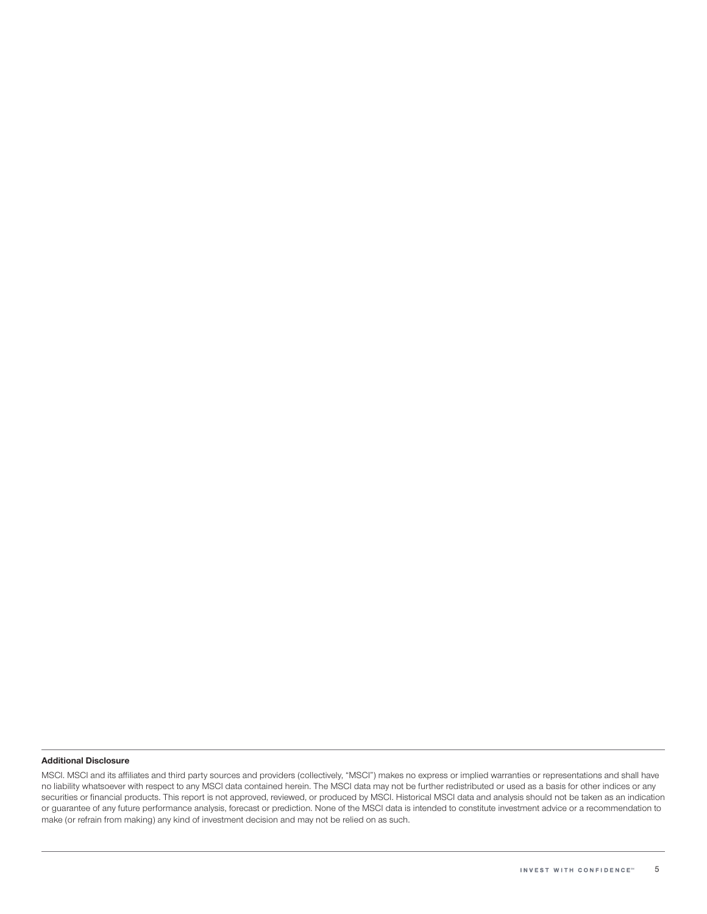#### Additional Disclosure

MSCI. MSCI and its affiliates and third party sources and providers (collectively, "MSCI") makes no express or implied warranties or representations and shall have no liability whatsoever with respect to any MSCI data contained herein. The MSCI data may not be further redistributed or used as a basis for other indices or any securities or financial products. This report is not approved, reviewed, or produced by MSCI. Historical MSCI data and analysis should not be taken as an indication or guarantee of any future performance analysis, forecast or prediction. None of the MSCI data is intended to constitute investment advice or a recommendation to make (or refrain from making) any kind of investment decision and may not be relied on as such.